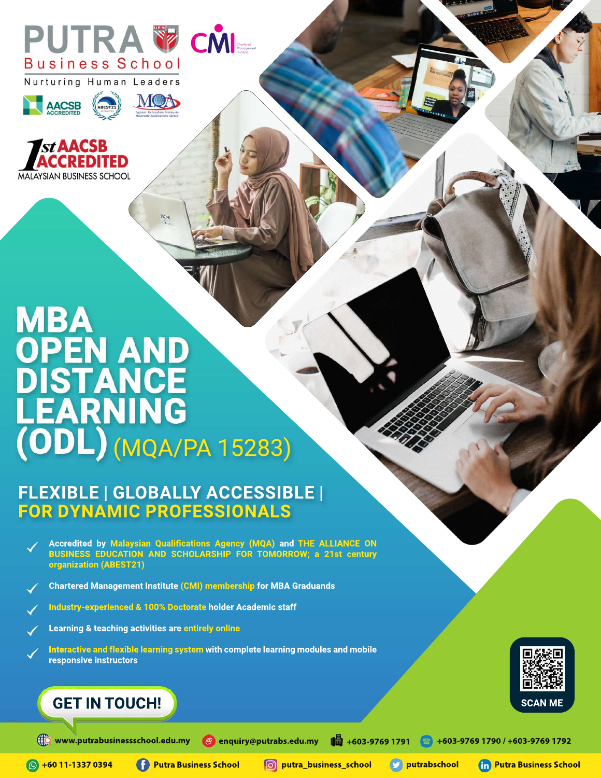







# **MBA OPEN AND<br>DISTANCE<br>LEARNING<br>(ODL) (MQA/PA 15283)**

# **FLEXIBLE|GLOBALLYACCESSIBLE| FOR DYNAMIC PROFESSIONALS**

- **Accredited by Malaysian Qualifications Agency (MQA) and THE ALLIANCE ON BUSINESS EDUCATION AND SCHOLARSHIP FOR TOMORROW; a 21st century organization(ABEST21)**
- Chartered Management Institute (CMI) membership for MBA Graduands
- **Industry-experienced&100%DoctorateholderAcademicstaff**
- **Learning & teaching activities are entirely online**
- Interactive and flexible learning system with complete learning modules and mobile responsive instructors

# **GET IN TOUCH!**



**+6011-13370394**

**PutraBusinessSchool putra\_business\_school putrabschool PutraBusinessSchool**

**SCAN ME**